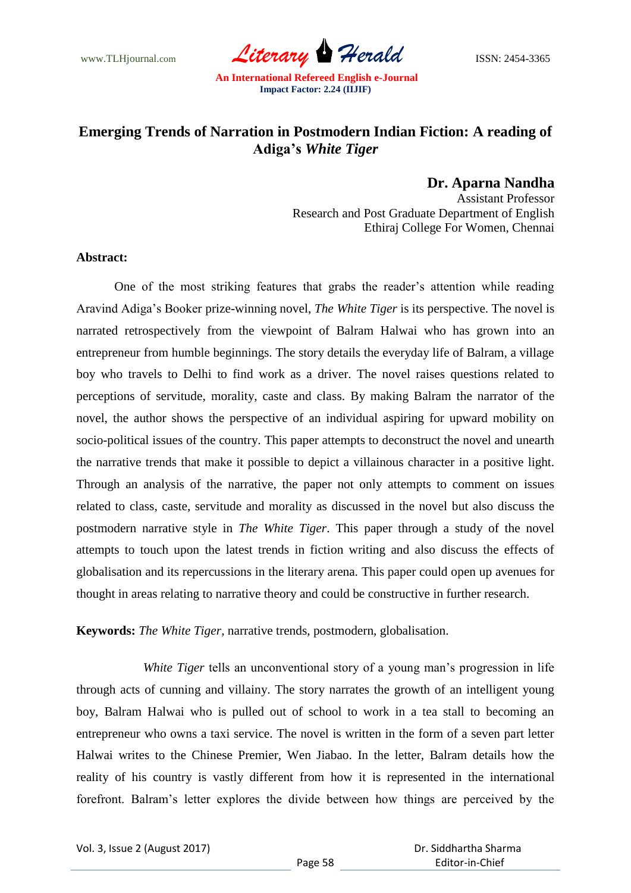www.TLHjournal.com *Literary Herald* ISSN: 2454-3365

## **Emerging Trends of Narration in Postmodern Indian Fiction: A reading of Adiga's** *White Tiger*

**Dr. Aparna Nandha**

Assistant Professor Research and Post Graduate Department of English Ethiraj College For Women, Chennai

## **Abstract:**

One of the most striking features that grabs the reader's attention while reading Aravind Adiga"s Booker prize-winning novel, *The White Tiger* is its perspective. The novel is narrated retrospectively from the viewpoint of Balram Halwai who has grown into an entrepreneur from humble beginnings. The story details the everyday life of Balram, a village boy who travels to Delhi to find work as a driver. The novel raises questions related to perceptions of servitude, morality, caste and class. By making Balram the narrator of the novel, the author shows the perspective of an individual aspiring for upward mobility on socio-political issues of the country. This paper attempts to deconstruct the novel and unearth the narrative trends that make it possible to depict a villainous character in a positive light. Through an analysis of the narrative, the paper not only attempts to comment on issues related to class, caste, servitude and morality as discussed in the novel but also discuss the postmodern narrative style in *The White Tiger*. This paper through a study of the novel attempts to touch upon the latest trends in fiction writing and also discuss the effects of globalisation and its repercussions in the literary arena. This paper could open up avenues for thought in areas relating to narrative theory and could be constructive in further research.

**Keywords:** *The White Tiger,* narrative trends, postmodern, globalisation.

*White Tiger* tells an unconventional story of a young man"s progression in life through acts of cunning and villainy. The story narrates the growth of an intelligent young boy, Balram Halwai who is pulled out of school to work in a tea stall to becoming an entrepreneur who owns a taxi service. The novel is written in the form of a seven part letter Halwai writes to the Chinese Premier, Wen Jiabao. In the letter, Balram details how the reality of his country is vastly different from how it is represented in the international forefront. Balram"s letter explores the divide between how things are perceived by the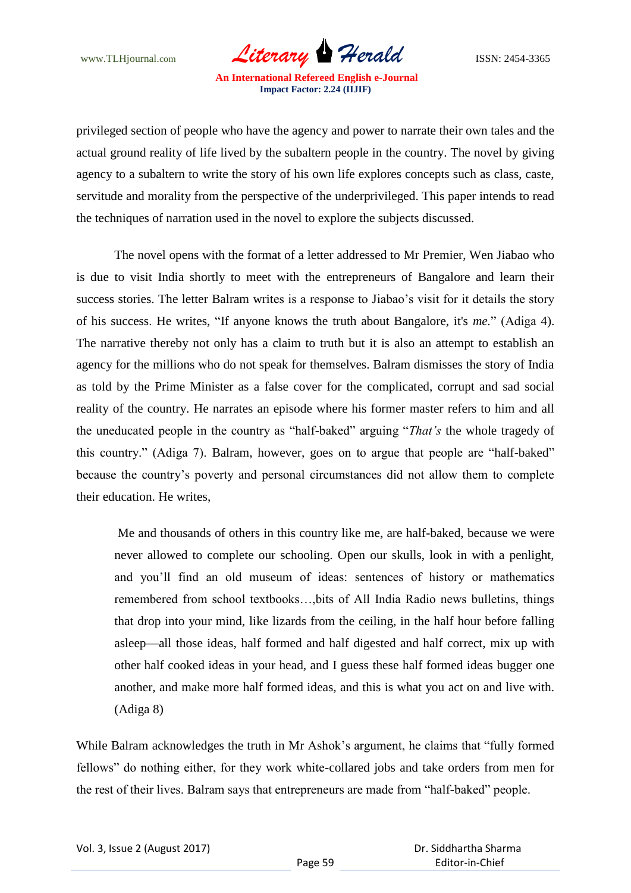www.TLHjournal.com *Literary Herald* ISSN: 2454-3365

privileged section of people who have the agency and power to narrate their own tales and the actual ground reality of life lived by the subaltern people in the country. The novel by giving agency to a subaltern to write the story of his own life explores concepts such as class, caste, servitude and morality from the perspective of the underprivileged. This paper intends to read the techniques of narration used in the novel to explore the subjects discussed.

The novel opens with the format of a letter addressed to Mr Premier, Wen Jiabao who is due to visit India shortly to meet with the entrepreneurs of Bangalore and learn their success stories. The letter Balram writes is a response to Jiabao"s visit for it details the story of his success. He writes, "If anyone knows the truth about Bangalore, it's *me.*" (Adiga 4). The narrative thereby not only has a claim to truth but it is also an attempt to establish an agency for the millions who do not speak for themselves. Balram dismisses the story of India as told by the Prime Minister as a false cover for the complicated, corrupt and sad social reality of the country. He narrates an episode where his former master refers to him and all the uneducated people in the country as "half-baked" arguing "*That's* the whole tragedy of this country." (Adiga 7). Balram, however, goes on to argue that people are "half-baked" because the country"s poverty and personal circumstances did not allow them to complete their education. He writes,

Me and thousands of others in this country like me, are half-baked, because we were never allowed to complete our schooling. Open our skulls, look in with a penlight, and you"ll find an old museum of ideas: sentences of history or mathematics remembered from school textbooks…,bits of All India Radio news bulletins, things that drop into your mind, like lizards from the ceiling, in the half hour before falling asleep—all those ideas, half formed and half digested and half correct, mix up with other half cooked ideas in your head, and I guess these half formed ideas bugger one another, and make more half formed ideas, and this is what you act on and live with. (Adiga 8)

While Balram acknowledges the truth in Mr Ashok's argument, he claims that "fully formed fellows" do nothing either, for they work white-collared jobs and take orders from men for the rest of their lives. Balram says that entrepreneurs are made from "half-baked" people.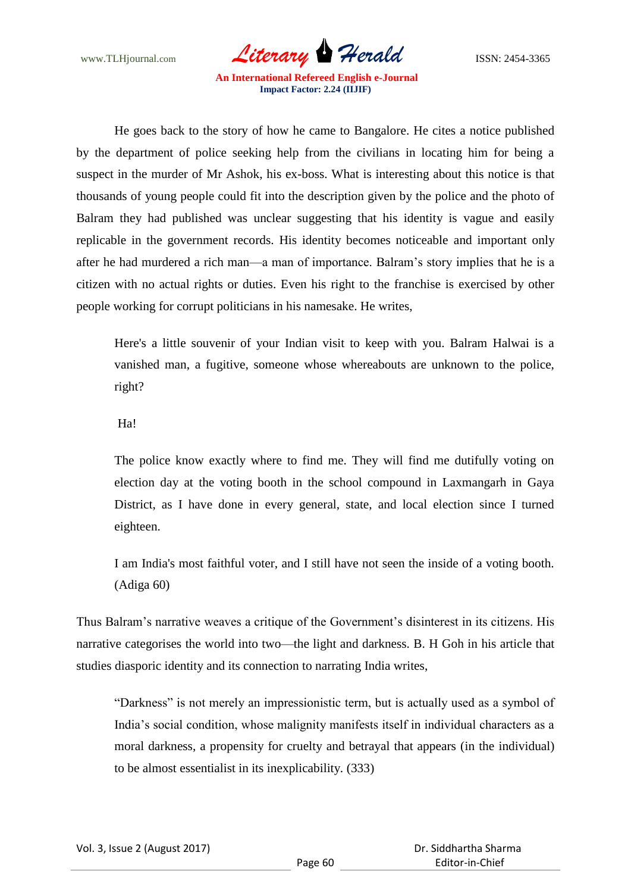www.TLHjournal.com *Literary Herald* ISSN: 2454-3365

He goes back to the story of how he came to Bangalore. He cites a notice published by the department of police seeking help from the civilians in locating him for being a suspect in the murder of Mr Ashok, his ex-boss. What is interesting about this notice is that thousands of young people could fit into the description given by the police and the photo of Balram they had published was unclear suggesting that his identity is vague and easily replicable in the government records. His identity becomes noticeable and important only after he had murdered a rich man—a man of importance. Balram"s story implies that he is a citizen with no actual rights or duties. Even his right to the franchise is exercised by other people working for corrupt politicians in his namesake. He writes,

Here's a little souvenir of your Indian visit to keep with you. Balram Halwai is a vanished man, a fugitive, someone whose whereabouts are unknown to the police, right?

Ha!

The police know exactly where to find me. They will find me dutifully voting on election day at the voting booth in the school compound in Laxmangarh in Gaya District, as I have done in every general, state, and local election since I turned eighteen.

I am India's most faithful voter, and I still have not seen the inside of a voting booth. (Adiga 60)

Thus Balram's narrative weaves a critique of the Government's disinterest in its citizens. His narrative categorises the world into two—the light and darkness. B. H Goh in his article that studies diasporic identity and its connection to narrating India writes,

"Darkness" is not merely an impressionistic term, but is actually used as a symbol of India"s social condition, whose malignity manifests itself in individual characters as a moral darkness, a propensity for cruelty and betrayal that appears (in the individual) to be almost essentialist in its inexplicability. (333)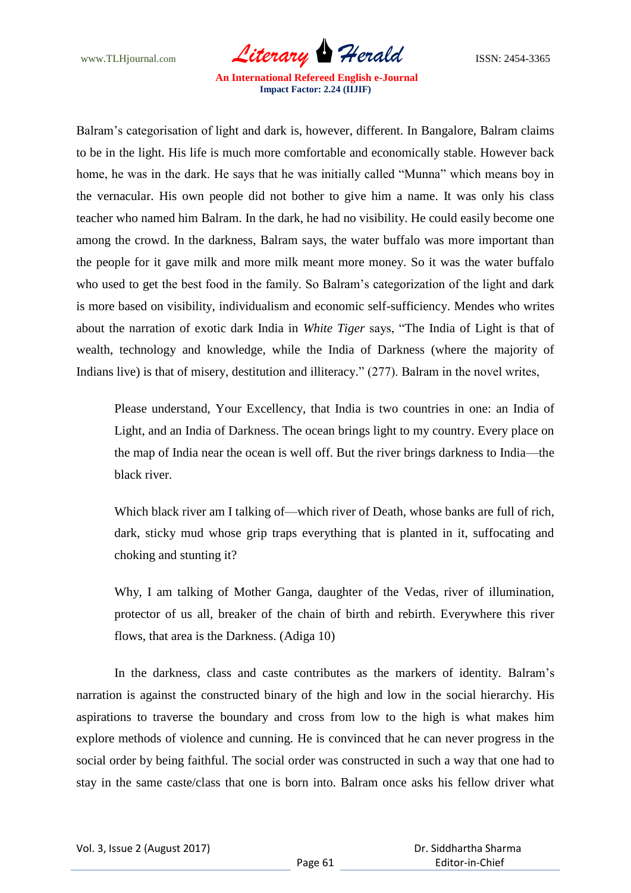www.TLHjournal.com *Literary Herald* ISSN: 2454-3365

Balram"s categorisation of light and dark is, however, different. In Bangalore, Balram claims to be in the light. His life is much more comfortable and economically stable. However back home, he was in the dark. He says that he was initially called "Munna" which means boy in the vernacular. His own people did not bother to give him a name. It was only his class teacher who named him Balram. In the dark, he had no visibility. He could easily become one among the crowd. In the darkness, Balram says, the water buffalo was more important than the people for it gave milk and more milk meant more money. So it was the water buffalo who used to get the best food in the family. So Balram"s categorization of the light and dark is more based on visibility, individualism and economic self-sufficiency. Mendes who writes about the narration of exotic dark India in *White Tiger* says, "The India of Light is that of wealth, technology and knowledge, while the India of Darkness (where the majority of Indians live) is that of misery, destitution and illiteracy." (277). Balram in the novel writes,

Please understand, Your Excellency, that India is two countries in one: an India of Light, and an India of Darkness. The ocean brings light to my country. Every place on the map of India near the ocean is well off. But the river brings darkness to India—the black river.

Which black river am I talking of—which river of Death, whose banks are full of rich, dark, sticky mud whose grip traps everything that is planted in it, suffocating and choking and stunting it?

Why, I am talking of Mother Ganga, daughter of the Vedas, river of illumination, protector of us all, breaker of the chain of birth and rebirth. Everywhere this river flows, that area is the Darkness. (Adiga 10)

In the darkness, class and caste contributes as the markers of identity. Balram"s narration is against the constructed binary of the high and low in the social hierarchy. His aspirations to traverse the boundary and cross from low to the high is what makes him explore methods of violence and cunning. He is convinced that he can never progress in the social order by being faithful. The social order was constructed in such a way that one had to stay in the same caste/class that one is born into. Balram once asks his fellow driver what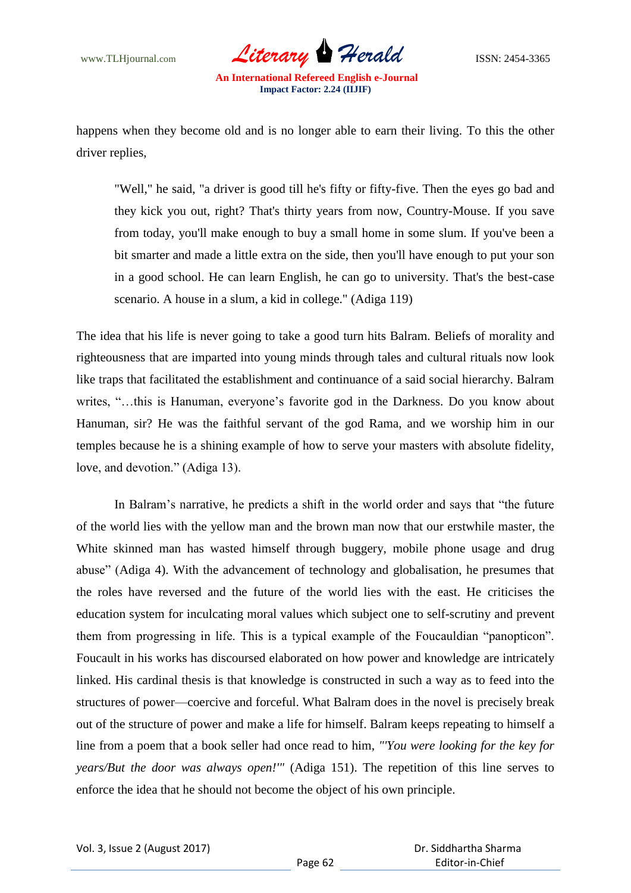

happens when they become old and is no longer able to earn their living. To this the other driver replies,

"Well," he said, "a driver is good till he's fifty or fifty-five. Then the eyes go bad and they kick you out, right? That's thirty years from now, Country-Mouse. If you save from today, you'll make enough to buy a small home in some slum. If you've been a bit smarter and made a little extra on the side, then you'll have enough to put your son in a good school. He can learn English, he can go to university. That's the best-case scenario. A house in a slum, a kid in college." (Adiga 119)

The idea that his life is never going to take a good turn hits Balram. Beliefs of morality and righteousness that are imparted into young minds through tales and cultural rituals now look like traps that facilitated the establishment and continuance of a said social hierarchy. Balram writes, "...this is Hanuman, everyone's favorite god in the Darkness. Do you know about Hanuman, sir? He was the faithful servant of the god Rama, and we worship him in our temples because he is a shining example of how to serve your masters with absolute fidelity, love, and devotion." (Adiga 13).

In Balram"s narrative, he predicts a shift in the world order and says that "the future of the world lies with the yellow man and the brown man now that our erstwhile master, the White skinned man has wasted himself through buggery, mobile phone usage and drug abuse" (Adiga 4). With the advancement of technology and globalisation, he presumes that the roles have reversed and the future of the world lies with the east. He criticises the education system for inculcating moral values which subject one to self-scrutiny and prevent them from progressing in life. This is a typical example of the Foucauldian "panopticon". Foucault in his works has discoursed elaborated on how power and knowledge are intricately linked. His cardinal thesis is that knowledge is constructed in such a way as to feed into the structures of power—coercive and forceful. What Balram does in the novel is precisely break out of the structure of power and make a life for himself. Balram keeps repeating to himself a line from a poem that a book seller had once read to him, *"'You were looking for the key for years/But the door was always open!'"* (Adiga 151). The repetition of this line serves to enforce the idea that he should not become the object of his own principle.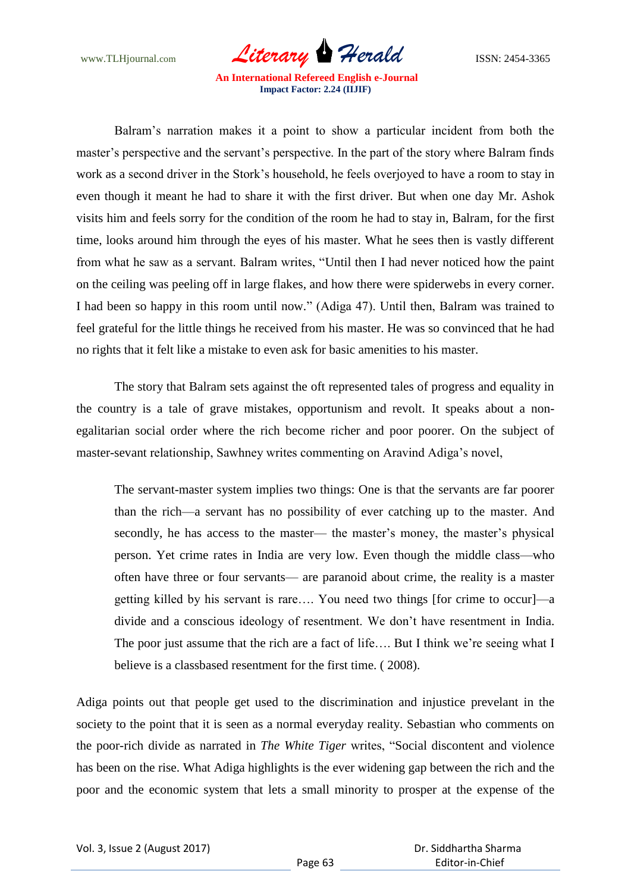www.TLHjournal.com *Literary Herald* ISSN: 2454-3365

Balram"s narration makes it a point to show a particular incident from both the master's perspective and the servant's perspective. In the part of the story where Balram finds work as a second driver in the Stork"s household, he feels overjoyed to have a room to stay in even though it meant he had to share it with the first driver. But when one day Mr. Ashok visits him and feels sorry for the condition of the room he had to stay in, Balram, for the first time, looks around him through the eyes of his master. What he sees then is vastly different from what he saw as a servant. Balram writes, "Until then I had never noticed how the paint on the ceiling was peeling off in large flakes, and how there were spiderwebs in every corner. I had been so happy in this room until now." (Adiga 47). Until then, Balram was trained to feel grateful for the little things he received from his master. He was so convinced that he had no rights that it felt like a mistake to even ask for basic amenities to his master.

The story that Balram sets against the oft represented tales of progress and equality in the country is a tale of grave mistakes, opportunism and revolt. It speaks about a nonegalitarian social order where the rich become richer and poor poorer. On the subject of master-sevant relationship, Sawhney writes commenting on Aravind Adiga's novel,

The servant-master system implies two things: One is that the servants are far poorer than the rich—a servant has no possibility of ever catching up to the master. And secondly, he has access to the master— the master's money, the master's physical person. Yet crime rates in India are very low. Even though the middle class—who often have three or four servants— are paranoid about crime, the reality is a master getting killed by his servant is rare…. You need two things [for crime to occur]—a divide and a conscious ideology of resentment. We don"t have resentment in India. The poor just assume that the rich are a fact of life.... But I think we're seeing what I believe is a classbased resentment for the first time. ( 2008).

Adiga points out that people get used to the discrimination and injustice prevelant in the society to the point that it is seen as a normal everyday reality. Sebastian who comments on the poor-rich divide as narrated in *The White Tiger* writes, "Social discontent and violence has been on the rise. What Adiga highlights is the ever widening gap between the rich and the poor and the economic system that lets a small minority to prosper at the expense of the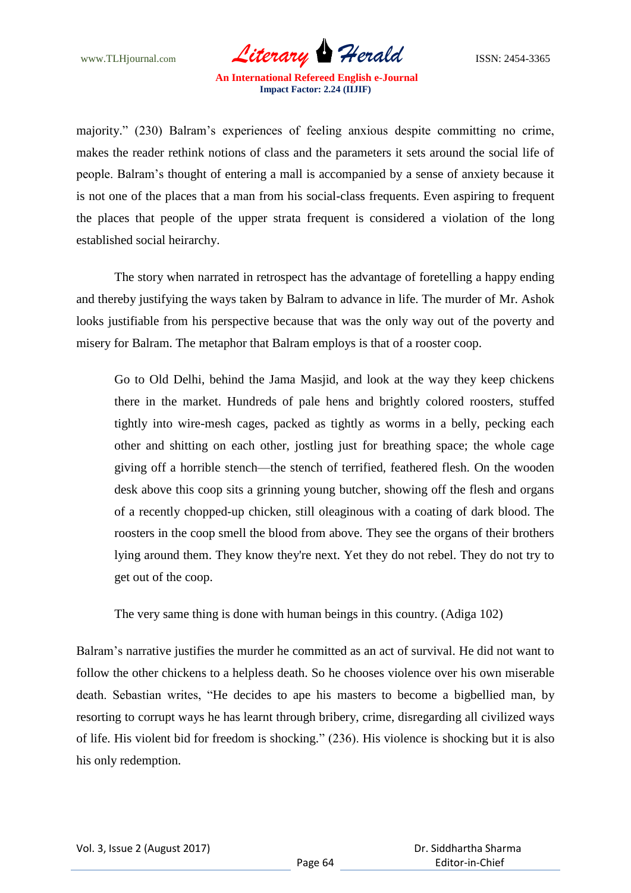www.TLHjournal.com *Literary Herald* ISSN: 2454-3365

majority." (230) Balram"s experiences of feeling anxious despite committing no crime, makes the reader rethink notions of class and the parameters it sets around the social life of people. Balram"s thought of entering a mall is accompanied by a sense of anxiety because it is not one of the places that a man from his social-class frequents. Even aspiring to frequent the places that people of the upper strata frequent is considered a violation of the long established social heirarchy.

The story when narrated in retrospect has the advantage of foretelling a happy ending and thereby justifying the ways taken by Balram to advance in life. The murder of Mr. Ashok looks justifiable from his perspective because that was the only way out of the poverty and misery for Balram. The metaphor that Balram employs is that of a rooster coop.

Go to Old Delhi, behind the Jama Masjid, and look at the way they keep chickens there in the market. Hundreds of pale hens and brightly colored roosters, stuffed tightly into wire-mesh cages, packed as tightly as worms in a belly, pecking each other and shitting on each other, jostling just for breathing space; the whole cage giving off a horrible stench—the stench of terrified, feathered flesh. On the wooden desk above this coop sits a grinning young butcher, showing off the flesh and organs of a recently chopped-up chicken, still oleaginous with a coating of dark blood. The roosters in the coop smell the blood from above. They see the organs of their brothers lying around them. They know they're next. Yet they do not rebel. They do not try to get out of the coop.

The very same thing is done with human beings in this country. (Adiga 102)

Balram"s narrative justifies the murder he committed as an act of survival. He did not want to follow the other chickens to a helpless death. So he chooses violence over his own miserable death. Sebastian writes, "He decides to ape his masters to become a bigbellied man, by resorting to corrupt ways he has learnt through bribery, crime, disregarding all civilized ways of life. His violent bid for freedom is shocking." (236). His violence is shocking but it is also his only redemption.